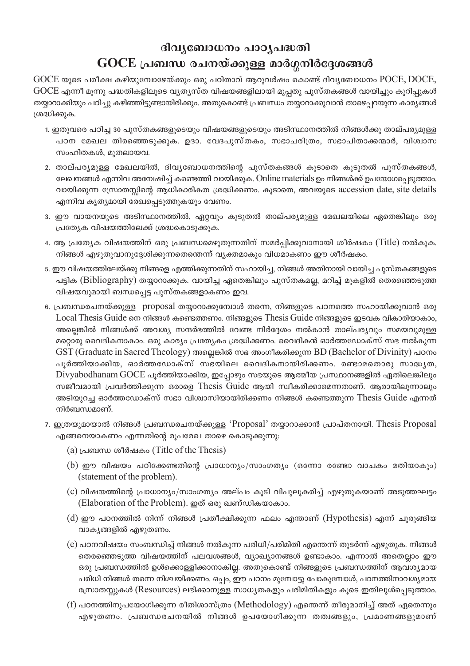## ദിവ്യബോധനം പാഠ്യപദ്ധതി

## $\rm GOCE$  പ്രബന്ധ രചനയ്ക്കുള്ള മാർഗ്ഗനിർദ്ദേശങ്ങൾ

 $GOCE$  യുടെ പരീക്ഷ കഴിയുമ്പോഴേയ്ക്കും ഒരു പഠിതാവ് ആറുവർഷം കൊണ്ട് ദിവൃബോധനം  $POCE$ ,  $DOCE$ ,  $GOCE$  എന്നീ മൂന്നു പദ്ധതികളിലൂടെ വ്യത്യസ്ത വിഷയങ്ങളിലായി മുപ്പതു പുസ്തകങ്ങൾ വായിച്ചും കുറിപ്പുകൾ തയ്യാറാക്കിയും പഠിച്ചു കഴിഞ്ഞിട്ടുണ്ടായിരിക്കും. അതുകൊണ്ട് പ്രബന്ധം തയ്യാറാക്കുവാൻ താഴെപ്പറയുന്ന കാര്യങ്ങൾ ശ്രദ്ധിക്കുക.

- 1. ഇതുവരെ പഠിച്ച 30 പുസ്തകങ്ങളുടെയും വിഷയങ്ങളുടെയും അടിസ്ഥാനത്തിൽ നിങ്ങൾക്കു താല്പര്യമുള്ള പഠന മേഖല തിരഞ്ഞെടുക്കുക. ഉദാ. വേദപുസ്തകം, സഭാചരിത്രം, സഭാപിതാക്കന്മാർ, വിശ്വാസ സംഹിതകൾ, മുതലായവ.
- 2. താല്പര്യമുള്ള മേഖലയിൽ, ദിവ്യബോധനത്തിന്റെ പുസ്തകങ്ങൾ കൂടാതെ കൂടുതൽ പുസ്തകങ്ങൾ, ലേഖനങ്ങൾ എന്നിവ അന്വേഷിച്ച് കണ്ടെത്തി വായിക്കുക. Online materials ഉം നിങ്ങൾക്ക് ഉപയോഗപ്പെടുത്താം. വായിക്കുന്ന സ്രോതസ്സിന്റെ ആധികാരികത ശ്രദ്ധിക്കണം. കൂടാതെ, അവയുടെ accession date, site details എന്നിവ കൃത്യമായി രേഖപ്പെടുത്തുകയും വേണം.
- 3. ഈ വായനയുടെ അടിസ്ഥാനത്തിൽ, ഏറ്റവും കൂടുതൽ താല്പര്യമുള്ള മേഖലയിലെ ഏതെങ്കിലും ഒരു പ്രത്യേക വിഷയത്തിലേക്ക് ശ്രദ്ധകൊടുക്കുക.
- 4. ആ പ്രത്യേക വിഷയത്തിന് ഒരു പ്രബന്ധമെഴുതുന്നതിന് സമർപ്പിക്കുവാനായി ശീർഷകം (Title) നൽകുക. നിങ്ങൾ എഴുതുവാനുദ്ദേശിക്കുന്നതെന്തെന്ന് വ്യക്തമാകും വിധമാകണം ഈ ശീർഷകം.
- 5. ഈ വിഷയത്തിലേയ്ക്കു നിങ്ങളെ എത്തിക്കുന്നതിന് സഹായിച്ച, നിങ്ങൾ അതിനായി വായിച്ച പുസ്തകങ്ങളുടെ പട്ടിക (Bibliography) തയ്യാറാക്കുക. വായിച്ച ഏതെങ്കിലും പുസ്തകമല്ല, മറിച്ച് മുകളിൽ തെരഞ്ഞെടുത്ത വിഷയവുമായി ബന്ധപ്പെട്ട പുസ്തകങ്ങളാകണം ഇവ.
- 6. പ്രബന്ധരചനയ്ക്കുള്ള proposal തയ്യാറാക്കുമ്പോൾ തന്നെ, നിങ്ങളുടെ പഠനത്തെ സഹായിക്കുവാൻ ഒരു Local Thesis Guide നെ നിങ്ങൾ കണ്ടെത്തണം. നിങ്ങളുടെ Thesis Guide നിങ്ങളുടെ ഇടവക വികാരിയാകാം, അല്ലെങ്കിൽ നിങ്ങൾക്ക് അവശ്യ സന്ദർഭത്തിൽ വേണ്ട നിർദ്ദേശം നൽകാൻ താല്പര്യവും സമയവുമുള്ള മറ്റൊരു വൈദികനാകാം. ഒരു കാര്യം പ്രത്യേകം ശ്രദ്ധിക്കണം. വൈദികൻ ഓർത്തഡോക്സ് സഭ നൽകുന്ന GST (Graduate in Sacred Theology) അല്ലെങ്കിൽ സഭ അംഗീകരിക്കുന്ന BD (Bachelor of Divinity) പഠനം പൂർത്തിയാക്കിയ, ഓർത്തഡോക്സ് സഭയിലെ വൈദികനായിരിക്കണം. രണ്ടാമതൊരു സാദ്ധ്യത, Divyabodhanam GOCE പൂർത്തിയാക്കിയ, ഇപ്പോഴും സഭയുടെ ആത്മീയ പ്രസ്ഥാനങ്ങളിൽ ഏതിലെങ്കിലും സജീവമായി പ്രവർത്തിക്കുന്ന ഒരാളെ Thesis Guide ആയി സ്വീകരിക്കാമെന്നതാണ്. ആരായിലുന്നാലും അടിയുറച്ച ഓർത്തഡോക്സ് സഭാ വിശ്വാസിയായിരിക്കണം നിങ്ങൾ കണ്ടെത്തുന്ന Thesis Guide എന്നത് നിർബന്ധമാണ്.
- 7. ഇത്രയുമായാൽ നിങ്ങൾ പ്രബന്ധരചനയ്ക്കുള്ള 'Proposal' തയ്യാറാക്കാൻ പ്രാപ്തനായി. Thesis Proposal എങ്ങനെയാകണം എന്നതിന്റെ രൂപരേഖ താഴെ കൊടുക്കുന്നു:
	- (a) പ്രബന്ധ ശീർഷകം (Title of the Thesis)
	- $(b)$  ഈ വിഷയം പഠിക്കേണ്ടതിന്റെ പ്രാധാന്യം/സാംഗത്യം (ഒന്നോ രണ്ടോ വാചകം മതിയാകും) (statement of the problem).
	- (c) വിഷയത്തിന്റെ പ്രാധാന്യം/സാംഗത്യം അല്പം കൂടി വിപുലൂകരിച്ച് എഴുതുകയാണ് അടുത്തഘട്ടം (Elaboration of the Problem). ഇത് ഒരു ഖണ്ഡികയാകാം.
	- $(d)$  ഈ പഠനത്തിൽ നിന്ന് നിങ്ങൾ പ്രതീക്ഷിക്കുന്ന ഫലം എന്താണ് (Hypothesis) എന്ന് ചുരുങ്ങിയ വാകൃങ്ങളിൽ എഴുതണം.
	- (e) പഠനവിഷയം സംബന്ധിച്ച് നിങ്ങൾ നൽകുന്ന പരിധി/പരിമിതി എന്തെന്ന് തുടർന്ന് എഴുതുക. നിങ്ങൾ തെരഞ്ഞെടുത്ത വിഷയത്തിന് പലവശങ്ങൾ, വ്യാഖ്യാനങ്ങൾ ഉണ്ടാകാം. എന്നാൽ അതെല്ലാം ഈ ഒരു പ്രബന്ധത്തിൽ ഉൾക്കൊള്ളിക്കാനാകില്ല. അതുകൊണ്ട് നിങ്ങളുടെ പ്രബന്ധത്തിന് ആവശ്യമായ പരിധി നിങ്ങൾ തന്നെ നിശ്ചയിക്കണം. ഒപ്പം, ഈ പഠനം മുമ്പോട്ടു പോകുമ്പോൾ, പഠനത്തിനാവശ്യമായ സ്രോതസ്സുകൾ (Resources) ലഭിക്കാനുള്ള സാധ്യതകളും പരിമിതികളും കൂടെ ഇതിലുൾപ്പെടുത്താം.
	- $(f)$  പഠനത്തിനുപയോഗിക്കുന്ന രീതിശാസ്ത്രം (Methodology) എന്തെന്ന് തീരുമാനിച്ച് അത് ഏതെന്നും എഴുതണം. പ്രബന്ധരചനയിൽ നിങ്ങൾ ഉപയോഗിക്കുന്ന തത്വങ്ങളും, പ്രമാണങ്ങളുമാണ്